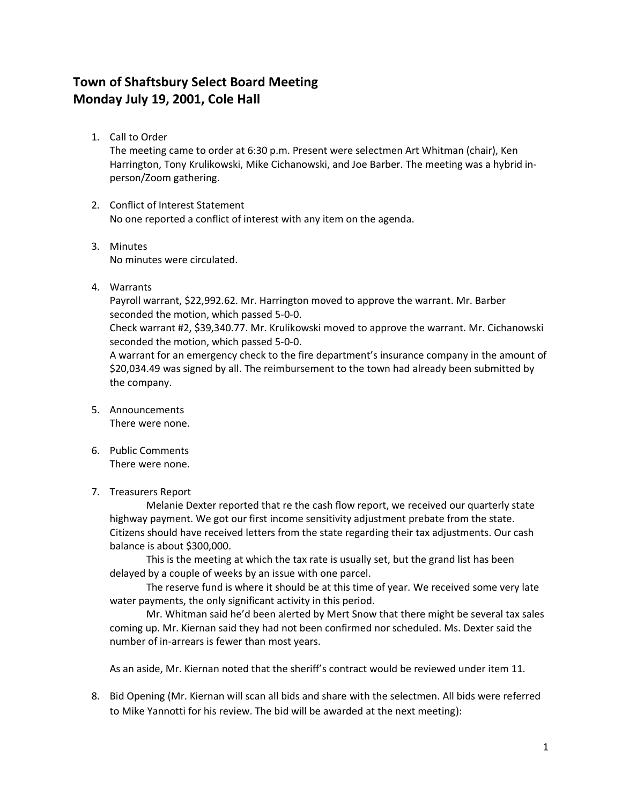# **Town of Shaftsbury Select Board Meeting Monday July 19, 2001, Cole Hall**

1. Call to Order

The meeting came to order at 6:30 p.m. Present were selectmen Art Whitman (chair), Ken Harrington, Tony Krulikowski, Mike Cichanowski, and Joe Barber. The meeting was a hybrid inperson/Zoom gathering.

- 2. Conflict of Interest Statement No one reported a conflict of interest with any item on the agenda.
- 3. Minutes No minutes were circulated.
- 4. Warrants

Payroll warrant, \$22,992.62. Mr. Harrington moved to approve the warrant. Mr. Barber seconded the motion, which passed 5-0-0.

Check warrant #2, \$39,340.77. Mr. Krulikowski moved to approve the warrant. Mr. Cichanowski seconded the motion, which passed 5-0-0.

A warrant for an emergency check to the fire department's insurance company in the amount of \$20,034.49 was signed by all. The reimbursement to the town had already been submitted by the company.

- 5. Announcements There were none.
- 6. Public Comments There were none.

### 7. Treasurers Report

Melanie Dexter reported that re the cash flow report, we received our quarterly state highway payment. We got our first income sensitivity adjustment prebate from the state. Citizens should have received letters from the state regarding their tax adjustments. Our cash balance is about \$300,000.

This is the meeting at which the tax rate is usually set, but the grand list has been delayed by a couple of weeks by an issue with one parcel.

The reserve fund is where it should be at this time of year. We received some very late water payments, the only significant activity in this period.

Mr. Whitman said he'd been alerted by Mert Snow that there might be several tax sales coming up. Mr. Kiernan said they had not been confirmed nor scheduled. Ms. Dexter said the number of in-arrears is fewer than most years.

As an aside, Mr. Kiernan noted that the sheriff's contract would be reviewed under item 11.

8. Bid Opening (Mr. Kiernan will scan all bids and share with the selectmen. All bids were referred to Mike Yannotti for his review. The bid will be awarded at the next meeting):